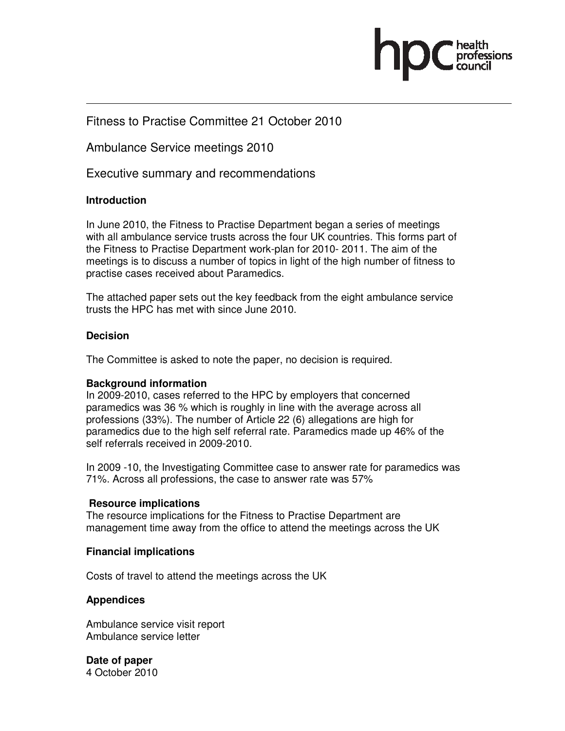

## Fitness to Practise Committee 21 October 2010

Ambulance Service meetings 2010

Executive summary and recommendations

#### **Introduction**

 In June 2010, the Fitness to Practise Department began a series of meetings with all ambulance service trusts across the four UK countries. This forms part of the Fitness to Practise Department work-plan for 2010- 2011. The aim of the meetings is to discuss a number of topics in light of the high number of fitness to practise cases received about Paramedics.

The attached paper sets out the key feedback from the eight ambulance service trusts the HPC has met with since June 2010.

#### **Decision**

The Committee is asked to note the paper, no decision is required.

#### **Background information**

In 2009-2010, cases referred to the HPC by employers that concerned paramedics was 36 % which is roughly in line with the average across all professions (33%). The number of Article 22 (6) allegations are high for paramedics due to the high self referral rate. Paramedics made up 46% of the self referrals received in 2009-2010.

In 2009 -10, the Investigating Committee case to answer rate for paramedics was 71%. Across all professions, the case to answer rate was 57%

#### **Resource implications**

The resource implications for the Fitness to Practise Department are management time away from the office to attend the meetings across the UK

#### **Financial implications**

Costs of travel to attend the meetings across the UK

#### **Appendices**

Ambulance service visit report Ambulance service letter

**Date of paper**  4 October 2010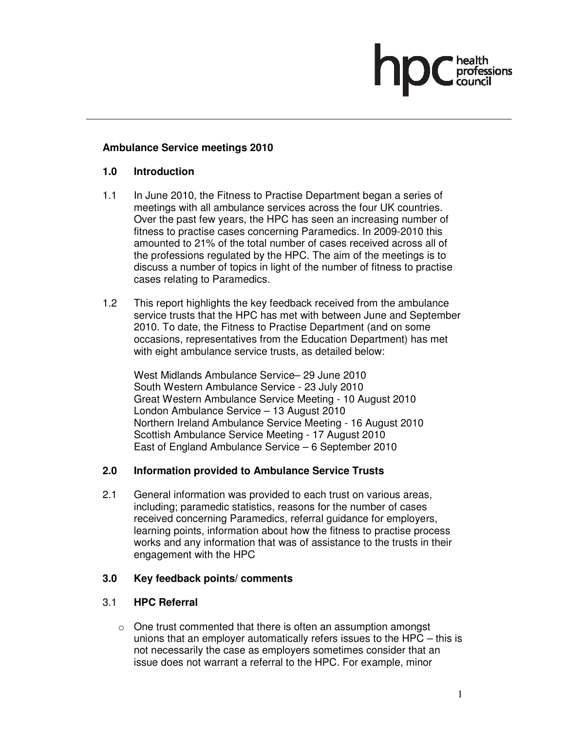## **Ambulance Service meetings 2010**

#### **1.0 Introduction**

- 1.1 In June 2010, the Fitness to Practise Department began a series of meetings with all ambulance services across the four UK countries. Over the past few years, the HPC has seen an increasing number of fitness to practise cases concerning Paramedics. In 2009-2010 this amounted to 21% of the total number of cases received across all of the professions regulated by the HPC. The aim of the meetings is to discuss a number of topics in light of the number of fitness to practise cases relating to Paramedics.
- 1.2 This report highlights the key feedback received from the ambulance service trusts that the HPC has met with between June and September 2010. To date, the Fitness to Practise Department (and on some occasions, representatives from the Education Department) has met with eight ambulance service trusts, as detailed below:

 West Midlands Ambulance Service– 29 June 2010 South Western Ambulance Service - 23 July 2010 Great Western Ambulance Service Meeting - 10 August 2010 London Ambulance Service – 13 August 2010 Northern Ireland Ambulance Service Meeting - 16 August 2010 Scottish Ambulance Service Meeting - 17 August 2010 East of England Ambulance Service – 6 September 2010

#### **2.0 Information provided to Ambulance Service Trusts**

2.1 General information was provided to each trust on various areas, including; paramedic statistics, reasons for the number of cases received concerning Paramedics, referral guidance for employers, learning points, information about how the fitness to practise process works and any information that was of assistance to the trusts in their engagement with the HPC

#### **3.0 Key feedback points/ comments**

#### 3.1 **HPC Referral**

 $\circ$  One trust commented that there is often an assumption amongst unions that an employer automatically refers issues to the HPC – this is not necessarily the case as employers sometimes consider that an issue does not warrant a referral to the HPC. For example, minor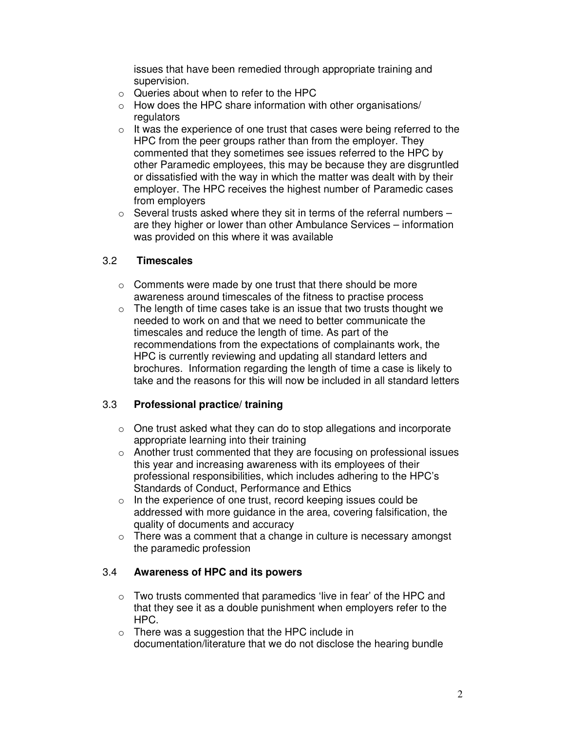issues that have been remedied through appropriate training and supervision.

- $\circ$  Queries about when to refer to the HPC
- $\circ$  How does the HPC share information with other organisations/ regulators
- $\circ$  It was the experience of one trust that cases were being referred to the HPC from the peer groups rather than from the employer. They commented that they sometimes see issues referred to the HPC by other Paramedic employees, this may be because they are disgruntled or dissatisfied with the way in which the matter was dealt with by their employer. The HPC receives the highest number of Paramedic cases from employers
- $\circ$  Several trusts asked where they sit in terms of the referral numbers  $$ are they higher or lower than other Ambulance Services – information was provided on this where it was available

## 3.2 **Timescales**

- o Comments were made by one trust that there should be more awareness around timescales of the fitness to practise process
- $\circ$  The length of time cases take is an issue that two trusts thought we needed to work on and that we need to better communicate the timescales and reduce the length of time. As part of the recommendations from the expectations of complainants work, the HPC is currently reviewing and updating all standard letters and brochures. Information regarding the length of time a case is likely to take and the reasons for this will now be included in all standard letters

## 3.3 **Professional practice/ training**

- $\circ$  One trust asked what they can do to stop allegations and incorporate appropriate learning into their training
- o Another trust commented that they are focusing on professional issues this year and increasing awareness with its employees of their professional responsibilities, which includes adhering to the HPC's Standards of Conduct, Performance and Ethics
- o In the experience of one trust, record keeping issues could be addressed with more guidance in the area, covering falsification, the quality of documents and accuracy
- $\circ$  There was a comment that a change in culture is necessary amongst the paramedic profession

## 3.4 **Awareness of HPC and its powers**

- o Two trusts commented that paramedics 'live in fear' of the HPC and that they see it as a double punishment when employers refer to the HPC.
- $\circ$  There was a suggestion that the HPC include in documentation/literature that we do not disclose the hearing bundle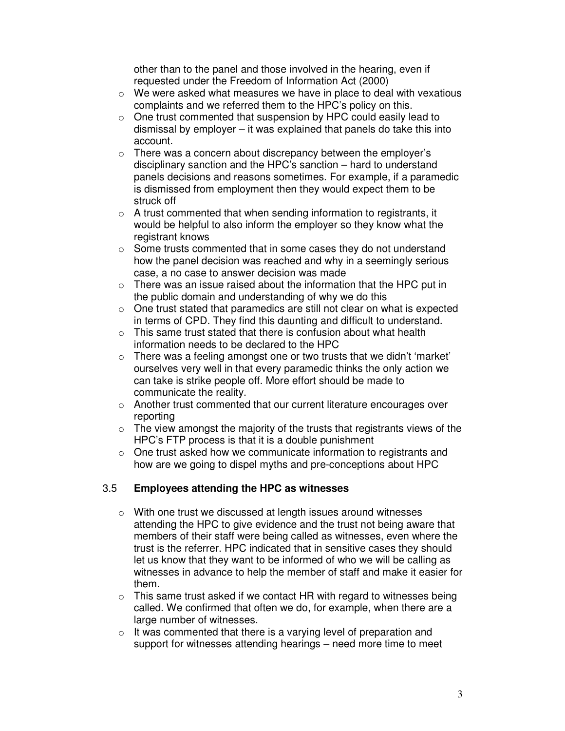other than to the panel and those involved in the hearing, even if requested under the Freedom of Information Act (2000)

- $\circ$  We were asked what measures we have in place to deal with vexatious complaints and we referred them to the HPC's policy on this.
- o One trust commented that suspension by HPC could easily lead to dismissal by employer – it was explained that panels do take this into account.
- $\circ$  There was a concern about discrepancy between the employer's disciplinary sanction and the HPC's sanction – hard to understand panels decisions and reasons sometimes. For example, if a paramedic is dismissed from employment then they would expect them to be struck off
- $\circ$  A trust commented that when sending information to registrants, it would be helpful to also inform the employer so they know what the registrant knows
- o Some trusts commented that in some cases they do not understand how the panel decision was reached and why in a seemingly serious case, a no case to answer decision was made
- $\circ$  There was an issue raised about the information that the HPC put in the public domain and understanding of why we do this
- $\circ$  One trust stated that paramedics are still not clear on what is expected in terms of CPD. They find this daunting and difficult to understand.
- $\circ$  This same trust stated that there is confusion about what health information needs to be declared to the HPC
- o There was a feeling amongst one or two trusts that we didn't 'market' ourselves very well in that every paramedic thinks the only action we can take is strike people off. More effort should be made to communicate the reality.
- o Another trust commented that our current literature encourages over reporting
- $\circ$  The view amongst the majority of the trusts that registrants views of the HPC's FTP process is that it is a double punishment
- o One trust asked how we communicate information to registrants and how are we going to dispel myths and pre-conceptions about HPC

## 3.5 **Employees attending the HPC as witnesses**

- o With one trust we discussed at length issues around witnesses attending the HPC to give evidence and the trust not being aware that members of their staff were being called as witnesses, even where the trust is the referrer. HPC indicated that in sensitive cases they should let us know that they want to be informed of who we will be calling as witnesses in advance to help the member of staff and make it easier for them.
- $\circ$  This same trust asked if we contact HR with regard to witnesses being called. We confirmed that often we do, for example, when there are a large number of witnesses.
- $\circ$  It was commented that there is a varying level of preparation and support for witnesses attending hearings – need more time to meet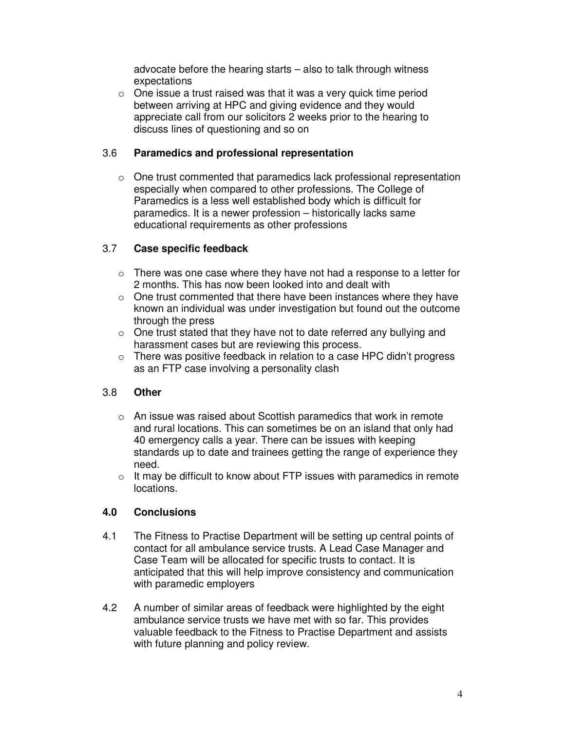advocate before the hearing starts – also to talk through witness expectations

 $\circ$  One issue a trust raised was that it was a very quick time period between arriving at HPC and giving evidence and they would appreciate call from our solicitors 2 weeks prior to the hearing to discuss lines of questioning and so on

## 3.6 **Paramedics and professional representation**

o One trust commented that paramedics lack professional representation especially when compared to other professions. The College of Paramedics is a less well established body which is difficult for paramedics. It is a newer profession – historically lacks same educational requirements as other professions

# 3.7 **Case specific feedback**

- $\circ$  There was one case where they have not had a response to a letter for 2 months. This has now been looked into and dealt with
- $\circ$  One trust commented that there have been instances where they have known an individual was under investigation but found out the outcome through the press
- $\circ$  One trust stated that they have not to date referred any bullying and harassment cases but are reviewing this process.
- o There was positive feedback in relation to a case HPC didn't progress as an FTP case involving a personality clash

# 3.8 **Other**

- o An issue was raised about Scottish paramedics that work in remote and rural locations. This can sometimes be on an island that only had 40 emergency calls a year. There can be issues with keeping standards up to date and trainees getting the range of experience they need.
- $\circ$  It may be difficult to know about FTP issues with paramedics in remote locations.

## **4.0 Conclusions**

- 4.1 The Fitness to Practise Department will be setting up central points of contact for all ambulance service trusts. A Lead Case Manager and Case Team will be allocated for specific trusts to contact. It is anticipated that this will help improve consistency and communication with paramedic employers
- 4.2 A number of similar areas of feedback were highlighted by the eight ambulance service trusts we have met with so far. This provides valuable feedback to the Fitness to Practise Department and assists with future planning and policy review.